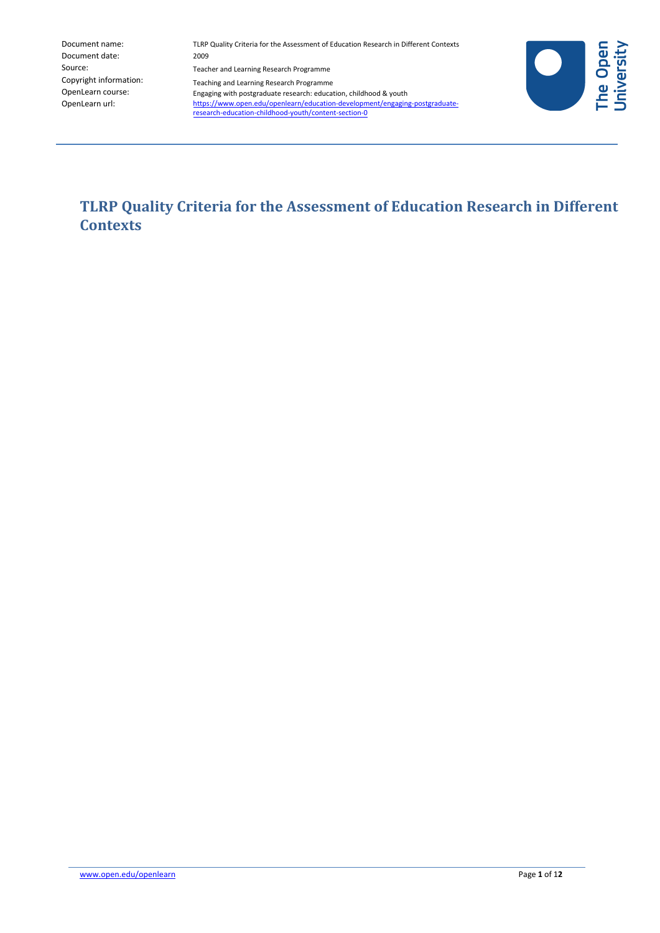| Document name:         |
|------------------------|
| Document date:         |
| Source:                |
| Copyright information: |
| OpenLearn course:      |
| OpenLearn url:         |

TLRP Quality Criteria for the Assessment of Education Research in Different Contexts 2009 Teacher and Learning Research Programme Teaching and Learning Research Programme Engaging with postgraduate research: education, childhood & youth [https://www.open.edu/openlearn/education-development/engaging-postgraduate](https://www.open.edu/openlearn/education-development/engaging-postgraduate-research-education-childhood-youth/content-section-0?active-tab=description-tab)[research-education-childhood-youth/content-section-0](https://www.open.edu/openlearn/education-development/developing-childrens-reading-pleasure/content-section-overview?active-tab=description-tab)



**TLRP Quality Criteria for the Assessment of Education Research in Different Contexts**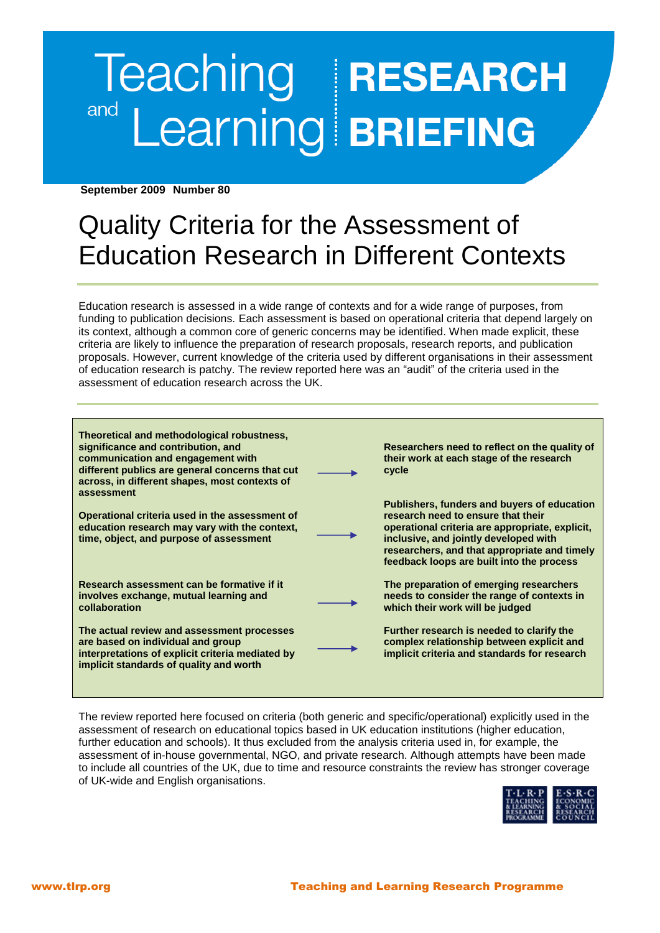# Teaching **RESEARCH**<br>Learning **BRIEFING** and

 **September 2009 Number 80**

# Quality Criteria for the Assessment of Education Research in Different Contexts

Education research is assessed in a wide range of contexts and for a wide range of purposes, from funding to publication decisions. Each assessment is based on operational criteria that depend largely on its context, although a common core of generic concerns may be identified. When made explicit, these criteria are likely to influence the preparation of research proposals, research reports, and publication proposals. However, current knowledge of the criteria used by different organisations in their assessment of education research is patchy. The review reported here was an "audit" of the criteria used in the assessment of education research across the UK.

| Theoretical and methodological robustness,<br>significance and contribution, and<br>communication and engagement with<br>different publics are general concerns that cut<br>across, in different shapes, most contexts of<br>assessment | Researchers need to reflect on the quality of<br>their work at each stage of the research<br>cycle                                                                                                                                                                         |
|-----------------------------------------------------------------------------------------------------------------------------------------------------------------------------------------------------------------------------------------|----------------------------------------------------------------------------------------------------------------------------------------------------------------------------------------------------------------------------------------------------------------------------|
| Operational criteria used in the assessment of<br>education research may vary with the context,<br>time, object, and purpose of assessment                                                                                              | Publishers, funders and buyers of education<br>research need to ensure that their<br>operational criteria are appropriate, explicit,<br>inclusive, and jointly developed with<br>researchers, and that appropriate and timely<br>feedback loops are built into the process |
| Research assessment can be formative if it<br>involves exchange, mutual learning and<br>collaboration                                                                                                                                   | The preparation of emerging researchers<br>needs to consider the range of contexts in<br>which their work will be judged                                                                                                                                                   |
| The actual review and assessment processes<br>are based on individual and group<br>interpretations of explicit criteria mediated by<br>implicit standards of quality and worth                                                          | Further research is needed to clarify the<br>complex relationship between explicit and<br>implicit criteria and standards for research                                                                                                                                     |

The review reported here focused on criteria (both generic and specific/operational) explicitly used in the assessment of research on educational topics based in UK education institutions (higher education, further education and schools). It thus excluded from the analysis criteria used in, for example, the assessment of in-house governmental, NGO, and private research. Although attempts have been made to include all countries of the UK, due to time and resource constraints the review has stronger coverage of UK-wide and English organisations.

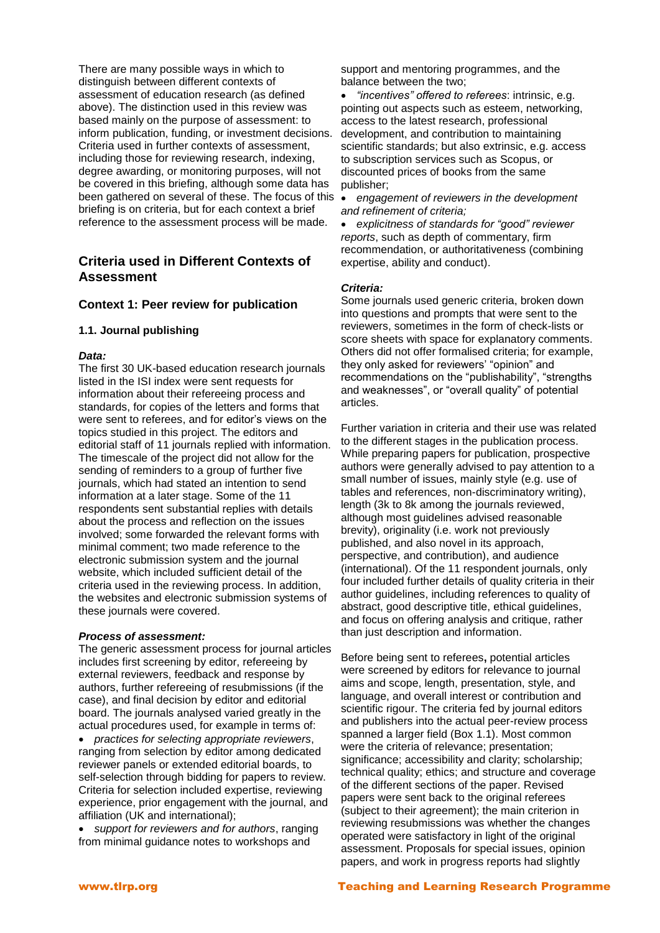There are many possible ways in which to distinguish between different contexts of assessment of education research (as defined above). The distinction used in this review was based mainly on the purpose of assessment: to inform publication, funding, or investment decisions. Criteria used in further contexts of assessment, including those for reviewing research, indexing, degree awarding, or monitoring purposes, will not be covered in this briefing, although some data has been gathered on several of these. The focus of this briefing is on criteria, but for each context a brief reference to the assessment process will be made.

# **Criteria used in Different Contexts of Assessment**

#### **Context 1: Peer review for publication**

#### **1.1. Journal publishing**

#### *Data:*

The first 30 UK-based education research journals listed in the ISI index were sent requests for information about their refereeing process and standards, for copies of the letters and forms that were sent to referees, and for editor's views on the topics studied in this project. The editors and editorial staff of 11 journals replied with information. The timescale of the project did not allow for the sending of reminders to a group of further five journals, which had stated an intention to send information at a later stage. Some of the 11 respondents sent substantial replies with details about the process and reflection on the issues involved; some forwarded the relevant forms with minimal comment; two made reference to the electronic submission system and the journal website, which included sufficient detail of the criteria used in the reviewing process. In addition, the websites and electronic submission systems of these journals were covered.

#### *Process of assessment:*

The generic assessment process for journal articles includes first screening by editor, refereeing by external reviewers, feedback and response by authors, further refereeing of resubmissions (if the case), and final decision by editor and editorial board. The journals analysed varied greatly in the actual procedures used, for example in terms of:

 *practices for selecting appropriate reviewers*, ranging from selection by editor among dedicated reviewer panels or extended editorial boards, to self-selection through bidding for papers to review. Criteria for selection included expertise, reviewing experience, prior engagement with the journal, and affiliation (UK and international);

 *support for reviewers and for authors*, ranging from minimal guidance notes to workshops and

support and mentoring programmes, and the balance between the two;

 *"incentives" offered to referees*: intrinsic, e.g. pointing out aspects such as esteem, networking, access to the latest research, professional development, and contribution to maintaining scientific standards; but also extrinsic, e.g. access to subscription services such as Scopus, or discounted prices of books from the same publisher;

 *engagement of reviewers in the development and refinement of criteria;*

 *explicitness of standards for "good" reviewer reports*, such as depth of commentary, firm recommendation, or authoritativeness (combining expertise, ability and conduct).

#### *Criteria:*

Some journals used generic criteria, broken down into questions and prompts that were sent to the reviewers, sometimes in the form of check-lists or score sheets with space for explanatory comments. Others did not offer formalised criteria; for example, they only asked for reviewers' "opinion" and recommendations on the "publishability", "strengths and weaknesses", or "overall quality" of potential articles.

Further variation in criteria and their use was related to the different stages in the publication process. While preparing papers for publication, prospective authors were generally advised to pay attention to a small number of issues, mainly style (e.g. use of tables and references, non-discriminatory writing), length (3k to 8k among the journals reviewed, although most guidelines advised reasonable brevity), originality (i.e. work not previously published, and also novel in its approach, perspective, and contribution), and audience (international). Of the 11 respondent journals, only four included further details of quality criteria in their author guidelines, including references to quality of abstract, good descriptive title, ethical guidelines, and focus on offering analysis and critique, rather than just description and information.

Before being sent to referees**,** potential articles were screened by editors for relevance to journal aims and scope, length, presentation, style, and language, and overall interest or contribution and scientific rigour. The criteria fed by journal editors and publishers into the actual peer-review process spanned a larger field (Box 1.1). Most common were the criteria of relevance; presentation; significance; accessibility and clarity; scholarship; technical quality; ethics; and structure and coverage of the different sections of the paper. Revised papers were sent back to the original referees (subject to their agreement); the main criterion in reviewing resubmissions was whether the changes operated were satisfactory in light of the original assessment. Proposals for special issues, opinion papers, and work in progress reports had slightly

#### www.tlrp.org Teaching and Learning Research Programme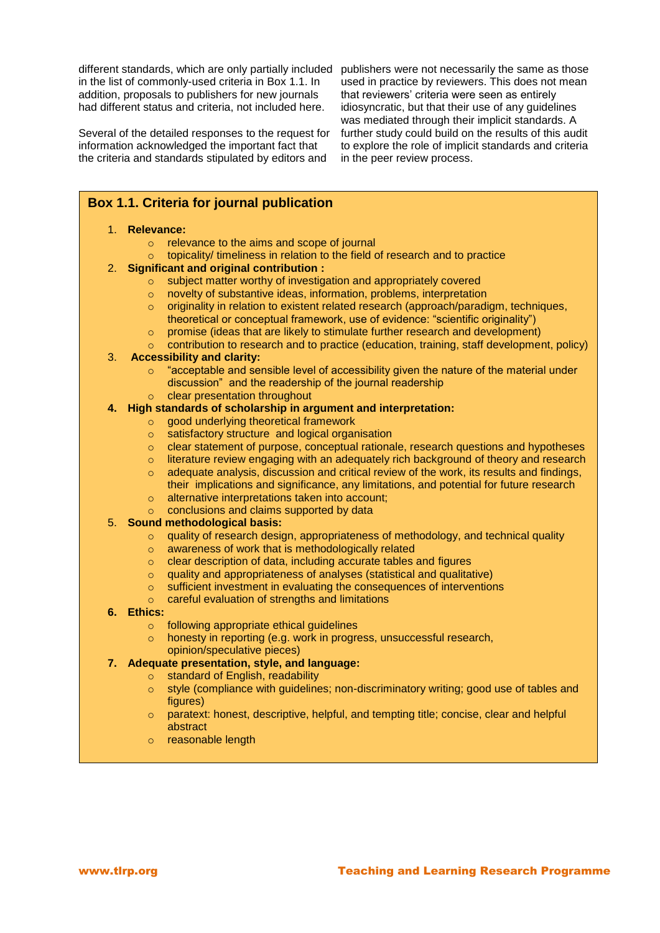in the list of commonly-used criteria in Box 1.1. In addition, proposals to publishers for new journals had different status and criteria, not included here.

Several of the detailed responses to the request for information acknowledged the important fact that the criteria and standards stipulated by editors and

different standards, which are only partially included publishers were not necessarily the same as those used in practice by reviewers. This does not mean that reviewers' criteria were seen as entirely idiosyncratic, but that their use of any guidelines was mediated through their implicit standards. A further study could build on the results of this audit to explore the role of implicit standards and criteria in the peer review process.

# **Box 1.1. Criteria for journal publication**

#### 1. **Relevance:**

- o relevance to the aims and scope of journal
- topicality/ timeliness in relation to the field of research and to practice

#### 2. **Significant and original contribution :**

- o subject matter worthy of investigation and appropriately covered
- o novelty of substantive ideas, information, problems, interpretation
- $\circ$  originality in relation to existent related research (approach/paradigm, techniques, theoretical or conceptual framework, use of evidence: "scientific originality")
- o promise (ideas that are likely to stimulate further research and development)
- $\circ$  contribution to research and to practice (education, training, staff development, policy)

# 3. **Accessibility and clarity:**

- $\circ$  "acceptable and sensible level of accessibility given the nature of the material under discussion" and the readership of the journal readership
- o clear presentation throughout

#### **4. High standards of scholarship in argument and interpretation:**

- o good underlying theoretical framework
- o satisfactory structure and logical organisation
- o clear statement of purpose, conceptual rationale, research questions and hypotheses
- o literature review engaging with an adequately rich background of theory and research
- $\circ$  adequate analysis, discussion and critical review of the work, its results and findings, their implications and significance, any limitations, and potential for future research o alternative interpretations taken into account;
- 
- o conclusions and claims supported by data

# 5. **Sound methodological basis:**

- $\circ$  quality of research design, appropriateness of methodology, and technical quality
- o awareness of work that is methodologically related
- o clear description of data, including accurate tables and figures
- o quality and appropriateness of analyses (statistical and qualitative)
- o sufficient investment in evaluating the consequences of interventions
- o careful evaluation of strengths and limitations

#### **6. Ethics:**

- o following appropriate ethical guidelines
- o honesty in reporting (e.g. work in progress, unsuccessful research, opinion/speculative pieces)

#### **7. Adequate presentation, style, and language:**

- o standard of English, readability
- o style (compliance with guidelines; non-discriminatory writing; good use of tables and figures)
- o paratext: honest, descriptive, helpful, and tempting title; concise, clear and helpful abstract
- o reasonable length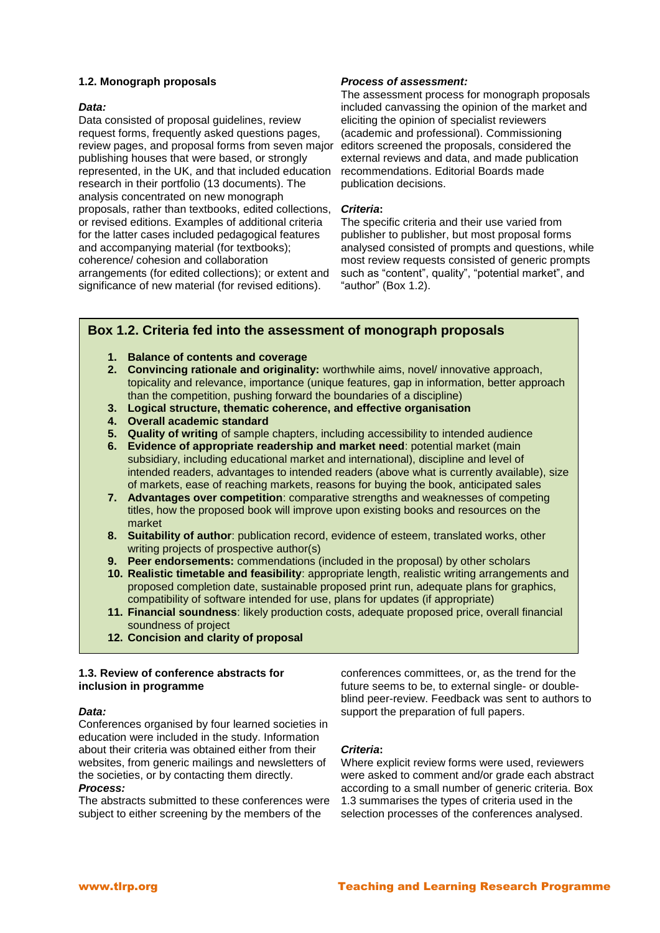#### **1.2. Monograph proposals**

#### *Data:*

Data consisted of proposal guidelines, review request forms, frequently asked questions pages, review pages, and proposal forms from seven major publishing houses that were based, or strongly represented, in the UK, and that included education research in their portfolio (13 documents). The analysis concentrated on new monograph proposals, rather than textbooks, edited collections, or revised editions. Examples of additional criteria for the latter cases included pedagogical features and accompanying material (for textbooks); coherence/ cohesion and collaboration arrangements (for edited collections); or extent and significance of new material (for revised editions).

#### *Process of assessment:*

The assessment process for monograph proposals included canvassing the opinion of the market and eliciting the opinion of specialist reviewers (academic and professional). Commissioning editors screened the proposals, considered the external reviews and data, and made publication recommendations. Editorial Boards made publication decisions.

#### *Criteria***:**

The specific criteria and their use varied from publisher to publisher, but most proposal forms analysed consisted of prompts and questions, while most review requests consisted of generic prompts such as "content", quality", "potential market", and "author" (Box 1.2).

# **Box 1.2. Criteria fed into the assessment of monograph proposals**

- **1. Balance of contents and coverage**
- **2. Convincing rationale and originality:** worthwhile aims, novel/ innovative approach, topicality and relevance, importance (unique features, gap in information, better approach than the competition, pushing forward the boundaries of a discipline)
- **3. Logical structure, thematic coherence, and effective organisation**
- **4. Overall academic standard**
- **5. Quality of writing** of sample chapters, including accessibility to intended audience
- **6. Evidence of appropriate readership and market need**: potential market (main subsidiary, including educational market and international), discipline and level of intended readers, advantages to intended readers (above what is currently available), size of markets, ease of reaching markets, reasons for buying the book, anticipated sales
- **7. Advantages over competition**: comparative strengths and weaknesses of competing titles, how the proposed book will improve upon existing books and resources on the market
- **8. Suitability of author**: publication record, evidence of esteem, translated works, other writing projects of prospective author(s)
- **9. Peer endorsements:** commendations (included in the proposal) by other scholars
- **10. Realistic timetable and feasibility**: appropriate length, realistic writing arrangements and proposed completion date, sustainable proposed print run, adequate plans for graphics, compatibility of software intended for use, plans for updates (if appropriate)
- **11. Financial soundness**: likely production costs, adequate proposed price, overall financial soundness of project
- **12. Concision and clarity of proposal**

#### **1.3. Review of conference abstracts for inclusion in programme**

#### *Data:*

Conferences organised by four learned societies in education were included in the study. Information about their criteria was obtained either from their websites, from generic mailings and newsletters of the societies, or by contacting them directly.

# *Process:*

The abstracts submitted to these conferences were subject to either screening by the members of the

conferences committees, or, as the trend for the future seems to be, to external single- or doubleblind peer-review. Feedback was sent to authors to support the preparation of full papers.

#### *Criteria***:**

Where explicit review forms were used, reviewers were asked to comment and/or grade each abstract according to a small number of generic criteria. Box 1.3 summarises the types of criteria used in the selection processes of the conferences analysed.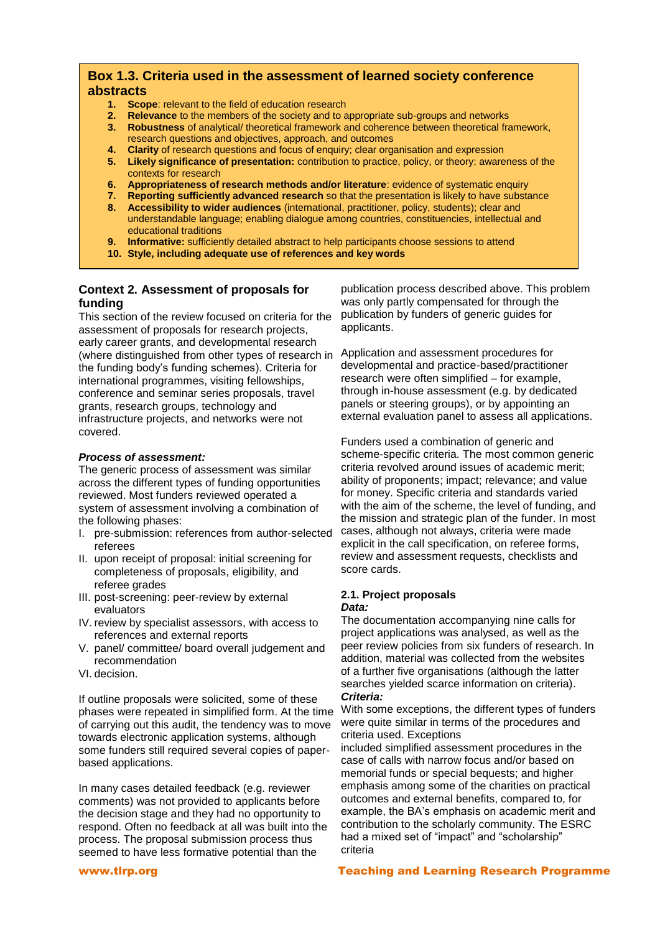# **Box 1.3. Criteria used in the assessment of learned society conference abstracts**

- **1. Scope**: relevant to the field of education research
- **2. Relevance** to the members of the society and to appropriate sub-groups and networks
- **3. Robustness** of analytical/ theoretical framework and coherence between theoretical framework, research questions and objectives, approach, and outcomes
- **4. Clarity** of research questions and focus of enquiry; clear organisation and expression
- **5. Likely significance of presentation:** contribution to practice, policy, or theory; awareness of the contexts for research
- **6. Appropriateness of research methods and/or literature**: evidence of systematic enquiry
- **7. Reporting sufficiently advanced research** so that the presentation is likely to have substance
- **8. Accessibility to wider audiences** (international, practitioner, policy, students); clear and understandable language; enabling dialogue among countries, constituencies, intellectual and educational traditions
- **9. Informative:** sufficiently detailed abstract to help participants choose sessions to attend
- **10. Style, including adequate use of references and key words**

# **Context 2. Assessment of proposals for funding**

This section of the review focused on criteria for the assessment of proposals for research projects, early career grants, and developmental research (where distinguished from other types of research in the funding body's funding schemes). Criteria for international programmes, visiting fellowships, conference and seminar series proposals, travel grants, research groups, technology and infrastructure projects, and networks were not covered.

#### *Process of assessment:*

The generic process of assessment was similar across the different types of funding opportunities reviewed. Most funders reviewed operated a system of assessment involving a combination of the following phases:

- I. pre-submission: references from author-selected referees
- II. upon receipt of proposal: initial screening for completeness of proposals, eligibility, and referee grades
- III. post-screening: peer-review by external evaluators
- IV. review by specialist assessors, with access to references and external reports
- V. panel/ committee/ board overall judgement and recommendation
- VI. decision.

If outline proposals were solicited, some of these phases were repeated in simplified form. At the time of carrying out this audit, the tendency was to move towards electronic application systems, although some funders still required several copies of paperbased applications.

In many cases detailed feedback (e.g. reviewer comments) was not provided to applicants before the decision stage and they had no opportunity to respond. Often no feedback at all was built into the process. The proposal submission process thus seemed to have less formative potential than the

publication process described above. This problem was only partly compensated for through the publication by funders of generic guides for applicants.

Application and assessment procedures for developmental and practice-based/practitioner research were often simplified – for example, through in-house assessment (e.g. by dedicated panels or steering groups), or by appointing an external evaluation panel to assess all applications.

Funders used a combination of generic and scheme-specific criteria. The most common generic criteria revolved around issues of academic merit; ability of proponents; impact; relevance; and value for money. Specific criteria and standards varied with the aim of the scheme, the level of funding, and the mission and strategic plan of the funder. In most cases, although not always, criteria were made explicit in the call specification, on referee forms, review and assessment requests, checklists and score cards.

#### **2.1. Project proposals** *Data:*

The documentation accompanying nine calls for project applications was analysed, as well as the peer review policies from six funders of research. In addition, material was collected from the websites of a further five organisations (although the latter searches yielded scarce information on criteria). *Criteria:*

With some exceptions, the different types of funders were quite similar in terms of the procedures and criteria used. Exceptions

included simplified assessment procedures in the case of calls with narrow focus and/or based on memorial funds or special bequests; and higher emphasis among some of the charities on practical outcomes and external benefits, compared to, for example, the BA's emphasis on academic merit and contribution to the scholarly community. The ESRC had a mixed set of "impact" and "scholarship" criteria

#### www.tlrp.org **Teaching and Learning Research Programme**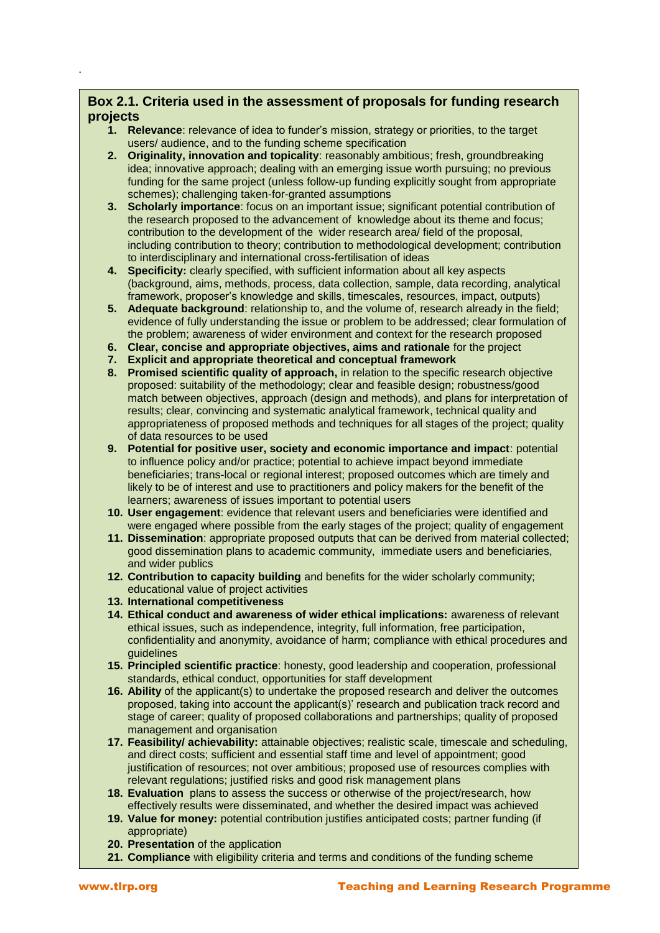# **Box 2.1. Criteria used in the assessment of proposals for funding research projects**

- **1. Relevance**: relevance of idea to funder's mission, strategy or priorities, to the target users/ audience, and to the funding scheme specification
- **2. Originality, innovation and topicality**: reasonably ambitious; fresh, groundbreaking idea; innovative approach; dealing with an emerging issue worth pursuing; no previous funding for the same project (unless follow-up funding explicitly sought from appropriate schemes); challenging taken-for-granted assumptions
- **3. Scholarly importance**: focus on an important issue; significant potential contribution of the research proposed to the advancement of knowledge about its theme and focus; contribution to the development of the wider research area/ field of the proposal, including contribution to theory; contribution to methodological development; contribution to interdisciplinary and international cross-fertilisation of ideas
- **4. Specificity:** clearly specified, with sufficient information about all key aspects (background, aims, methods, process, data collection, sample, data recording, analytical framework, proposer's knowledge and skills, timescales, resources, impact, outputs)
- **5. Adequate background**: relationship to, and the volume of, research already in the field; evidence of fully understanding the issue or problem to be addressed; clear formulation of the problem; awareness of wider environment and context for the research proposed
- **6. Clear, concise and appropriate objectives, aims and rationale** for the project
- **7. Explicit and appropriate theoretical and conceptual framework**
- **8. Promised scientific quality of approach,** in relation to the specific research objective proposed: suitability of the methodology; clear and feasible design; robustness/good match between objectives, approach (design and methods), and plans for interpretation of results; clear, convincing and systematic analytical framework, technical quality and appropriateness of proposed methods and techniques for all stages of the project; quality of data resources to be used
- **9. Potential for positive user, society and economic importance and impact**: potential to influence policy and/or practice; potential to achieve impact beyond immediate beneficiaries; trans-local or regional interest; proposed outcomes which are timely and likely to be of interest and use to practitioners and policy makers for the benefit of the learners; awareness of issues important to potential users
- **10. User engagement**: evidence that relevant users and beneficiaries were identified and were engaged where possible from the early stages of the project; quality of engagement
- **11. Dissemination**: appropriate proposed outputs that can be derived from material collected; good dissemination plans to academic community, immediate users and beneficiaries, and wider publics
- **12. Contribution to capacity building** and benefits for the wider scholarly community; educational value of project activities
- **13. International competitiveness**
- **14. Ethical conduct and awareness of wider ethical implications:** awareness of relevant ethical issues, such as independence, integrity, full information, free participation, confidentiality and anonymity, avoidance of harm; compliance with ethical procedures and guidelines
- **15. Principled scientific practice**: honesty, good leadership and cooperation, professional standards, ethical conduct, opportunities for staff development
- **16. Ability** of the applicant(s) to undertake the proposed research and deliver the outcomes proposed, taking into account the applicant(s)' research and publication track record and stage of career; quality of proposed collaborations and partnerships; quality of proposed management and organisation
- **17. Feasibility/ achievability:** attainable objectives; realistic scale, timescale and scheduling, and direct costs; sufficient and essential staff time and level of appointment; good justification of resources; not over ambitious; proposed use of resources complies with relevant regulations; justified risks and good risk management plans
- **18. Evaluation** plans to assess the success or otherwise of the project/research, how effectively results were disseminated, and whether the desired impact was achieved
- **19. Value for money:** potential contribution justifies anticipated costs; partner funding (if appropriate)
- **20. Presentation** of the application
- **21. Compliance** with eligibility criteria and terms and conditions of the funding scheme

.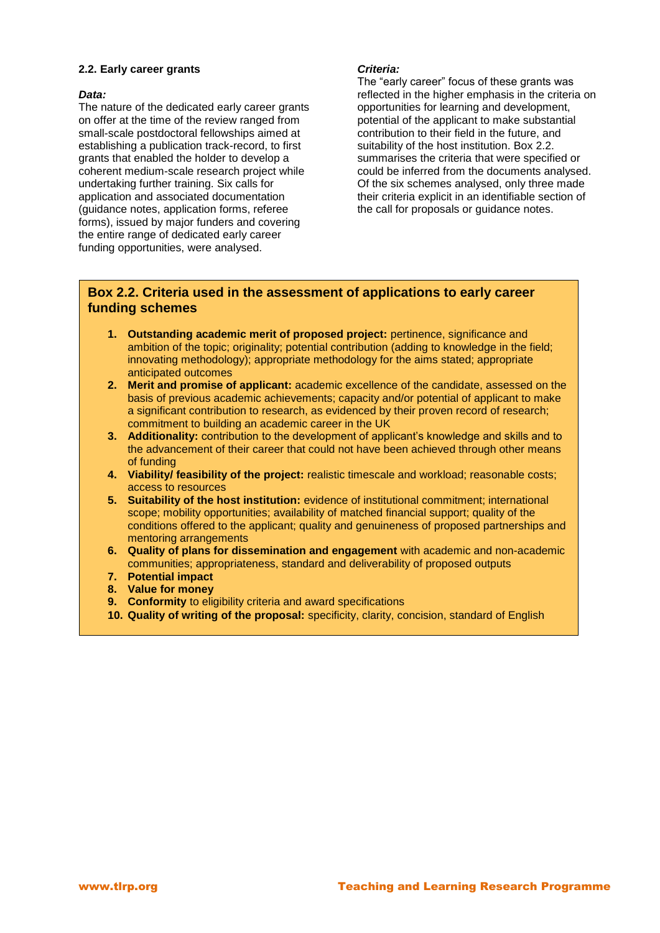#### **2.2. Early career grants**

#### *Data:*

The nature of the dedicated early career grants on offer at the time of the review ranged from small-scale postdoctoral fellowships aimed at establishing a publication track-record, to first grants that enabled the holder to develop a coherent medium-scale research project while undertaking further training. Six calls for application and associated documentation (guidance notes, application forms, referee forms), issued by major funders and covering the entire range of dedicated early career funding opportunities, were analysed.

#### *Criteria:*

The "early career" focus of these grants was reflected in the higher emphasis in the criteria on opportunities for learning and development, potential of the applicant to make substantial contribution to their field in the future, and suitability of the host institution. Box 2.2. summarises the criteria that were specified or could be inferred from the documents analysed. Of the six schemes analysed, only three made their criteria explicit in an identifiable section of the call for proposals or guidance notes.

# **Box 2.2. Criteria used in the assessment of applications to early career funding schemes**

- **1. Outstanding academic merit of proposed project:** pertinence, significance and ambition of the topic; originality; potential contribution (adding to knowledge in the field; innovating methodology); appropriate methodology for the aims stated; appropriate anticipated outcomes
- **2. Merit and promise of applicant:** academic excellence of the candidate, assessed on the basis of previous academic achievements; capacity and/or potential of applicant to make a significant contribution to research, as evidenced by their proven record of research; commitment to building an academic career in the UK
- **3. Additionality:** contribution to the development of applicant's knowledge and skills and to the advancement of their career that could not have been achieved through other means of funding
- **4. Viability/ feasibility of the project:** realistic timescale and workload; reasonable costs; access to resources
- **5. Suitability of the host institution:** evidence of institutional commitment; international scope; mobility opportunities; availability of matched financial support; quality of the conditions offered to the applicant; quality and genuineness of proposed partnerships and mentoring arrangements
- **6. Quality of plans for dissemination and engagement** with academic and non-academic communities; appropriateness, standard and deliverability of proposed outputs
- **7. Potential impact**
- **8. Value for money**
- **9. Conformity** to eligibility criteria and award specifications
- **10. Quality of writing of the proposal:** specificity, clarity, concision, standard of English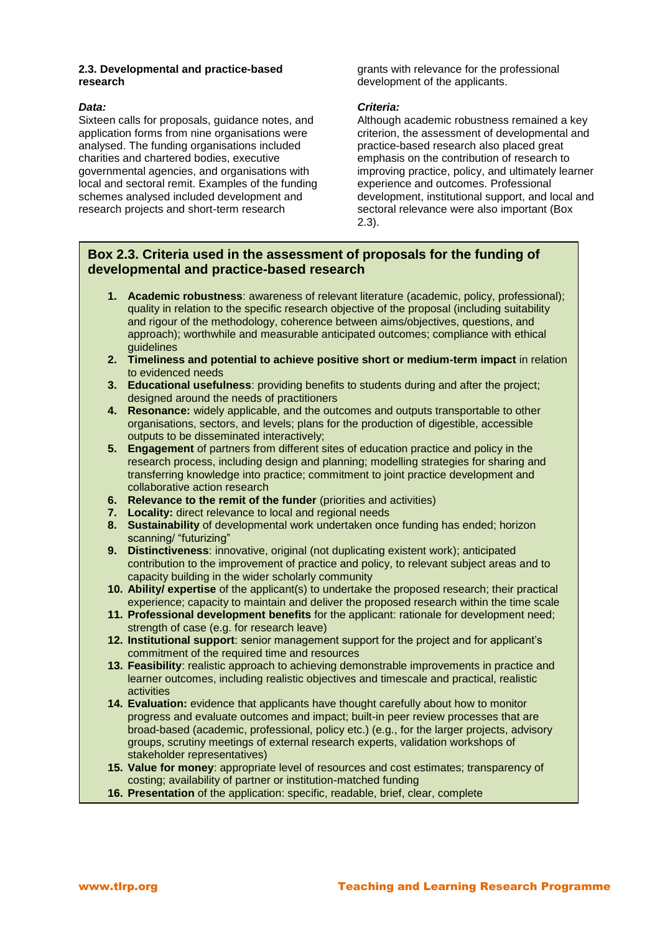#### **2.3. Developmental and practice-based research**

#### *Data:*

Sixteen calls for proposals, guidance notes, and application forms from nine organisations were analysed. The funding organisations included charities and chartered bodies, executive governmental agencies, and organisations with local and sectoral remit. Examples of the funding schemes analysed included development and research projects and short-term research

grants with relevance for the professional development of the applicants.

#### *Criteria:*

Although academic robustness remained a key criterion, the assessment of developmental and practice-based research also placed great emphasis on the contribution of research to improving practice, policy, and ultimately learner experience and outcomes. Professional development, institutional support, and local and sectoral relevance were also important (Box 2.3).

# **Box 2.3. Criteria used in the assessment of proposals for the funding of developmental and practice-based research**

- **1. Academic robustness**: awareness of relevant literature (academic, policy, professional); quality in relation to the specific research objective of the proposal (including suitability and rigour of the methodology, coherence between aims/objectives, questions, and approach); worthwhile and measurable anticipated outcomes; compliance with ethical guidelines
- **2. Timeliness and potential to achieve positive short or medium-term impact** in relation to evidenced needs
- **3. Educational usefulness**: providing benefits to students during and after the project; designed around the needs of practitioners
- **4. Resonance:** widely applicable, and the outcomes and outputs transportable to other organisations, sectors, and levels; plans for the production of digestible, accessible outputs to be disseminated interactively;
- **5. Engagement** of partners from different sites of education practice and policy in the research process, including design and planning; modelling strategies for sharing and transferring knowledge into practice; commitment to joint practice development and collaborative action research
- **6. Relevance to the remit of the funder** (priorities and activities)
- **7. Locality:** direct relevance to local and regional needs
- **8. Sustainability** of developmental work undertaken once funding has ended; horizon scanning/ "futurizing"
- **9. Distinctiveness**: innovative, original (not duplicating existent work); anticipated contribution to the improvement of practice and policy, to relevant subject areas and to capacity building in the wider scholarly community
- **10. Ability/ expertise** of the applicant(s) to undertake the proposed research; their practical experience; capacity to maintain and deliver the proposed research within the time scale
- **11. Professional development benefits** for the applicant: rationale for development need; strength of case (e.g. for research leave)
- **12. Institutional support**: senior management support for the project and for applicant's commitment of the required time and resources
- **13. Feasibility**: realistic approach to achieving demonstrable improvements in practice and learner outcomes, including realistic objectives and timescale and practical, realistic activities
- **14. Evaluation:** evidence that applicants have thought carefully about how to monitor progress and evaluate outcomes and impact; built-in peer review processes that are broad-based (academic, professional, policy etc.) (e.g., for the larger projects, advisory groups, scrutiny meetings of external research experts, validation workshops of stakeholder representatives)
- **15. Value for money**: appropriate level of resources and cost estimates; transparency of costing; availability of partner or institution-matched funding
- **16. Presentation** of the application: specific, readable, brief, clear, complete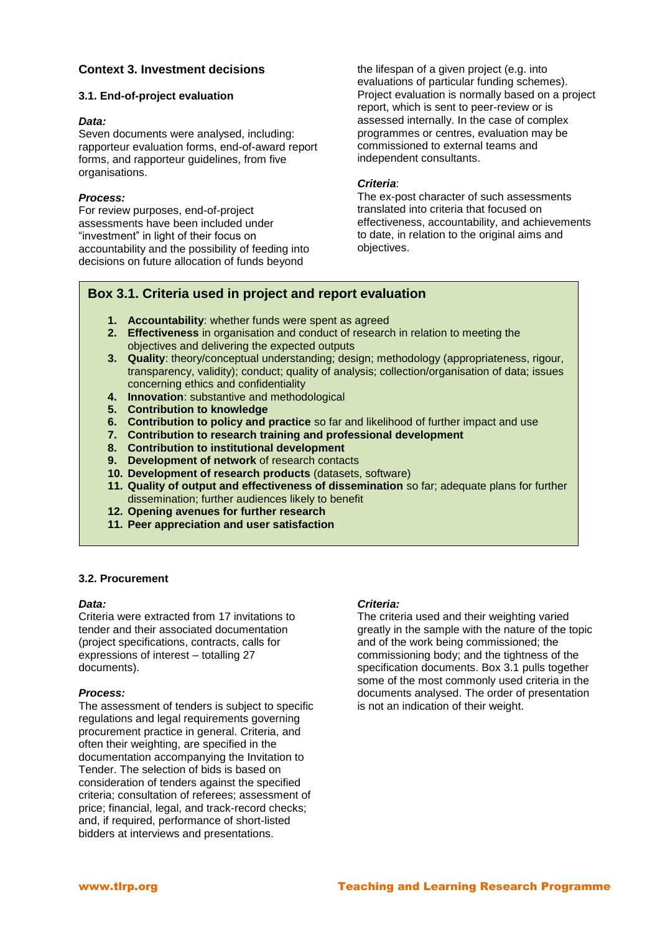# **Context 3. Investment decisions**

#### **3.1. End-of-project evaluation**

#### *Data:*

Seven documents were analysed, including: rapporteur evaluation forms, end-of-award report forms, and rapporteur guidelines, from five organisations.

#### *Process:*

For review purposes, end-of-project assessments have been included under "investment" in light of their focus on accountability and the possibility of feeding into decisions on future allocation of funds beyond

the lifespan of a given project (e.g. into evaluations of particular funding schemes). Project evaluation is normally based on a project report, which is sent to peer-review or is assessed internally. In the case of complex programmes or centres, evaluation may be commissioned to external teams and independent consultants.

#### *Criteria*:

The ex-post character of such assessments translated into criteria that focused on effectiveness, accountability, and achievements to date, in relation to the original aims and objectives.

# **Box 3.1. Criteria used in project and report evaluation**

- **1. Accountability**: whether funds were spent as agreed
- **2. Effectiveness** in organisation and conduct of research in relation to meeting the objectives and delivering the expected outputs
- **3. Quality**: theory/conceptual understanding; design; methodology (appropriateness, rigour, transparency, validity); conduct; quality of analysis; collection/organisation of data; issues concerning ethics and confidentiality
- **4. Innovation**: substantive and methodological
- **5. Contribution to knowledge**
- **6. Contribution to policy and practice** so far and likelihood of further impact and use
- **7. Contribution to research training and professional development**
- **8. Contribution to institutional development**
- **9. Development of network** of research contacts
- **10. Development of research products** (datasets, software)
- **11. Quality of output and effectiveness of dissemination** so far; adequate plans for further dissemination; further audiences likely to benefit
- **12. Opening avenues for further research**
- **11. Peer appreciation and user satisfaction**

#### **3.2. Procurement**

#### *Data:*

Criteria were extracted from 17 invitations to tender and their associated documentation (project specifications, contracts, calls for expressions of interest – totalling 27 documents).

#### *Process:*

The assessment of tenders is subject to specific regulations and legal requirements governing procurement practice in general. Criteria, and often their weighting, are specified in the documentation accompanying the Invitation to Tender. The selection of bids is based on consideration of tenders against the specified criteria; consultation of referees; assessment of price; financial, legal, and track-record checks; and, if required, performance of short-listed bidders at interviews and presentations.

# *Criteria:*

The criteria used and their weighting varied greatly in the sample with the nature of the topic and of the work being commissioned; the commissioning body; and the tightness of the specification documents. Box 3.1 pulls together some of the most commonly used criteria in the documents analysed. The order of presentation is not an indication of their weight.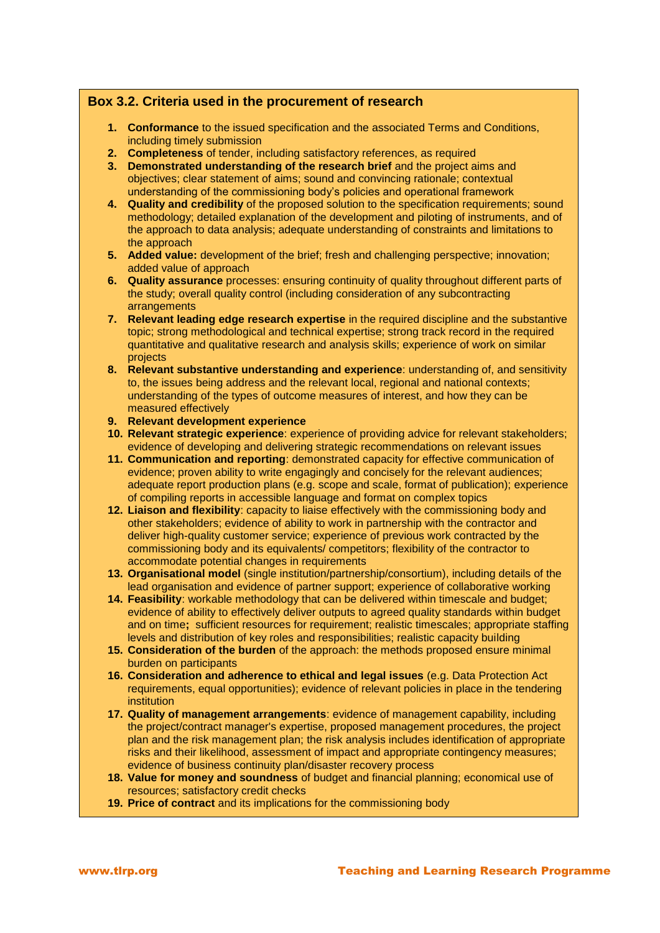# **Box 3.2. Criteria used in the procurement of research**

- **1. Conformance** to the issued specification and the associated Terms and Conditions, including timely submission
- **2. Completeness** of tender, including satisfactory references, as required
- **3. Demonstrated understanding of the research brief** and the project aims and objectives; clear statement of aims; sound and convincing rationale; contextual understanding of the commissioning body's policies and operational framework
- **4. Quality and credibility** of the proposed solution to the specification requirements; sound methodology; detailed explanation of the development and piloting of instruments, and of the approach to data analysis; adequate understanding of constraints and limitations to the approach
- **5. Added value:** development of the brief; fresh and challenging perspective; innovation; added value of approach
- **6. Quality assurance** processes: ensuring continuity of quality throughout different parts of the study; overall quality control (including consideration of any subcontracting arrangements
- **7. Relevant leading edge research expertise** in the required discipline and the substantive topic; strong methodological and technical expertise; strong track record in the required quantitative and qualitative research and analysis skills; experience of work on similar projects
- **8. Relevant substantive understanding and experience**: understanding of, and sensitivity to, the issues being address and the relevant local, regional and national contexts; understanding of the types of outcome measures of interest, and how they can be measured effectively
- **9. Relevant development experience**
- **10. Relevant strategic experience**: experience of providing advice for relevant stakeholders; evidence of developing and delivering strategic recommendations on relevant issues
- **11. Communication and reporting**: demonstrated capacity for effective communication of evidence; proven ability to write engagingly and concisely for the relevant audiences; adequate report production plans (e.g. scope and scale, format of publication); experience of compiling reports in accessible language and format on complex topics
- **12. Liaison and flexibility**: capacity to liaise effectively with the commissioning body and other stakeholders; evidence of ability to work in partnership with the contractor and deliver high-quality customer service; experience of previous work contracted by the commissioning body and its equivalents/ competitors; flexibility of the contractor to accommodate potential changes in requirements
- **13. Organisational model** (single institution/partnership/consortium), including details of the lead organisation and evidence of partner support; experience of collaborative working
- **14. Feasibility**: workable methodology that can be delivered within timescale and budget; evidence of ability to effectively deliver outputs to agreed quality standards within budget and on time**;** sufficient resources for requirement; realistic timescales; appropriate staffing levels and distribution of key roles and responsibilities; realistic capacity building
- **15. Consideration of the burden** of the approach: the methods proposed ensure minimal burden on participants
- **16. Consideration and adherence to ethical and legal issues** (e.g. Data Protection Act requirements, equal opportunities); evidence of relevant policies in place in the tendering institution
- **17. Quality of management arrangements**: evidence of management capability, including the project/contract manager's expertise, proposed management procedures, the project plan and the risk management plan; the risk analysis includes identification of appropriate risks and their likelihood, assessment of impact and appropriate contingency measures; evidence of business continuity plan/disaster recovery process
- **18. Value for money and soundness** of budget and financial planning; economical use of resources; satisfactory credit checks
- **19. Price of contract** and its implications for the commissioning body